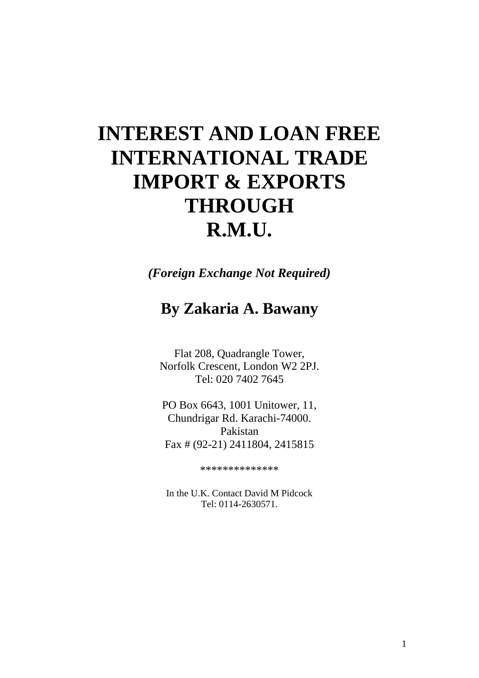# **INTEREST AND LOAN FREE INTERNATIONAL TRADE IMPORT & EXPORTS THROUGH R.M.U.**

*(Foreign Exchange Not Required)*

# **By Zakaria A. Bawany**

Flat 208, Quadrangle Tower, Norfolk Crescent, London W2 2PJ. Tel: 020 7402 7645

PO Box 6643, 1001 Unitower, 11, Chundrigar Rd. Karachi-74000. Pakistan Fax # (92-21) 2411804, 2415815

\*\*\*\*\*\*\*\*\*\*\*\*\*\*

In the U.K. Contact David M Pidcock Tel: 0114-2630571.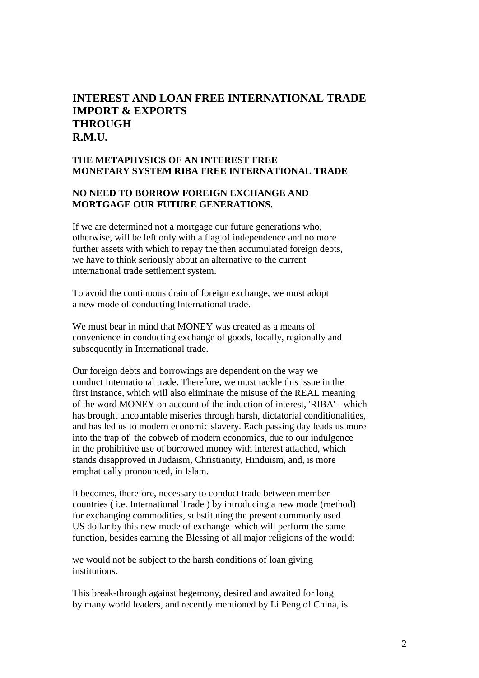# **INTEREST AND LOAN FREE INTERNATIONAL TRADE IMPORT & EXPORTS THROUGH R.M.U.**

# **THE METAPHYSICS OF AN INTEREST FREE MONETARY SYSTEM RIBA FREE INTERNATIONAL TRADE**

#### **NO NEED TO BORROW FOREIGN EXCHANGE AND MORTGAGE OUR FUTURE GENERATIONS.**

If we are determined not a mortgage our future generations who, otherwise, will be left only with a flag of independence and no more further assets with which to repay the then accumulated foreign debts, we have to think seriously about an alternative to the current international trade settlement system.

To avoid the continuous drain of foreign exchange, we must adopt a new mode of conducting International trade.

We must bear in mind that MONEY was created as a means of convenience in conducting exchange of goods, locally, regionally and subsequently in International trade.

Our foreign debts and borrowings are dependent on the way we conduct International trade. Therefore, we must tackle this issue in the first instance, which will also eliminate the misuse of the REAL meaning of the word MONEY on account of the induction of interest, 'RIBA' - which has brought uncountable miseries through harsh, dictatorial conditionalities, and has led us to modern economic slavery. Each passing day leads us more into the trap of the cobweb of modern economics, due to our indulgence in the prohibitive use of borrowed money with interest attached, which stands disapproved in Judaism, Christianity, Hinduism, and, is more emphatically pronounced, in Islam.

It becomes, therefore, necessary to conduct trade between member countries ( i.e. International Trade ) by introducing a new mode (method) for exchanging commodities, substituting the present commonly used US dollar by this new mode of exchange which will perform the same function, besides earning the Blessing of all major religions of the world;

we would not be subject to the harsh conditions of loan giving institutions.

This break-through against hegemony, desired and awaited for long by many world leaders, and recently mentioned by Li Peng of China, is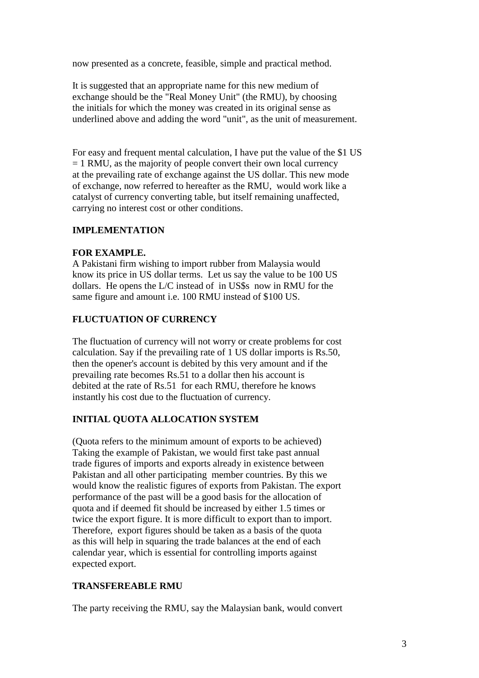now presented as a concrete, feasible, simple and practical method.

It is suggested that an appropriate name for this new medium of exchange should be the "Real Money Unit" (the RMU), by choosing the initials for which the money was created in its original sense as underlined above and adding the word "unit", as the unit of measurement.

For easy and frequent mental calculation, I have put the value of the \$1 US  $= 1$  RMU, as the majority of people convert their own local currency at the prevailing rate of exchange against the US dollar. This new mode of exchange, now referred to hereafter as the RMU, would work like a catalyst of currency converting table, but itself remaining unaffected, carrying no interest cost or other conditions.

# **IMPLEMENTATION**

# **FOR EXAMPLE.**

A Pakistani firm wishing to import rubber from Malaysia would know its price in US dollar terms. Let us say the value to be 100 US dollars. He opens the L/C instead of in US\$s now in RMU for the same figure and amount i.e. 100 RMU instead of \$100 US.

# **FLUCTUATION OF CURRENCY**

The fluctuation of currency will not worry or create problems for cost calculation. Say if the prevailing rate of 1 US dollar imports is Rs.50, then the opener's account is debited by this very amount and if the prevailing rate becomes Rs.51 to a dollar then his account is debited at the rate of Rs.51 for each RMU, therefore he knows instantly his cost due to the fluctuation of currency.

# **INITIAL QUOTA ALLOCATION SYSTEM**

(Quota refers to the minimum amount of exports to be achieved) Taking the example of Pakistan, we would first take past annual trade figures of imports and exports already in existence between Pakistan and all other participating member countries. By this we would know the realistic figures of exports from Pakistan. The export performance of the past will be a good basis for the allocation of quota and if deemed fit should be increased by either 1.5 times or twice the export figure. It is more difficult to export than to import. Therefore, export figures should be taken as a basis of the quota as this will help in squaring the trade balances at the end of each calendar year, which is essential for controlling imports against expected export.

# **TRANSFEREABLE RMU**

The party receiving the RMU, say the Malaysian bank, would convert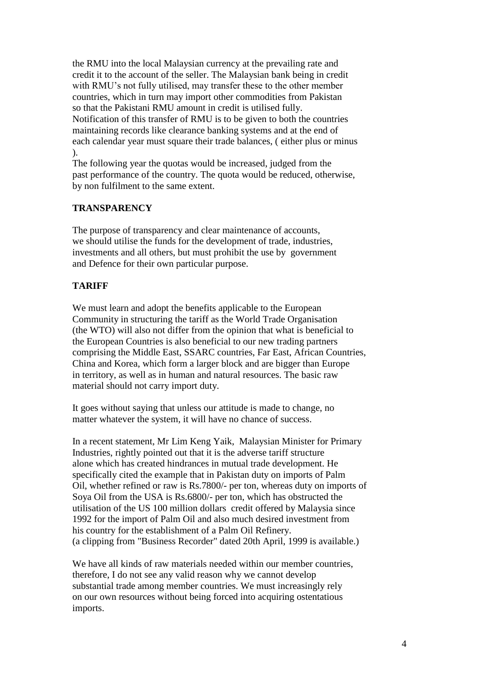the RMU into the local Malaysian currency at the prevailing rate and credit it to the account of the seller. The Malaysian bank being in credit with RMU's not fully utilised, may transfer these to the other member countries, which in turn may import other commodities from Pakistan so that the Pakistani RMU amount in credit is utilised fully. Notification of this transfer of RMU is to be given to both the countries maintaining records like clearance banking systems and at the end of each calendar year must square their trade balances, ( either plus or minus ).

The following year the quotas would be increased, judged from the past performance of the country. The quota would be reduced, otherwise, by non fulfilment to the same extent.

# **TRANSPARENCY**

The purpose of transparency and clear maintenance of accounts, we should utilise the funds for the development of trade, industries, investments and all others, but must prohibit the use by government and Defence for their own particular purpose.

# **TARIFF**

We must learn and adopt the benefits applicable to the European Community in structuring the tariff as the World Trade Organisation (the WTO) will also not differ from the opinion that what is beneficial to the European Countries is also beneficial to our new trading partners comprising the Middle East, SSARC countries, Far East, African Countries, China and Korea, which form a larger block and are bigger than Europe in territory, as well as in human and natural resources. The basic raw material should not carry import duty.

It goes without saying that unless our attitude is made to change, no matter whatever the system, it will have no chance of success.

In a recent statement, Mr Lim Keng Yaik, Malaysian Minister for Primary Industries, rightly pointed out that it is the adverse tariff structure alone which has created hindrances in mutual trade development. He specifically cited the example that in Pakistan duty on imports of Palm Oil, whether refined or raw is Rs.7800/- per ton, whereas duty on imports of Soya Oil from the USA is Rs.6800/- per ton, which has obstructed the utilisation of the US 100 million dollars credit offered by Malaysia since 1992 for the import of Palm Oil and also much desired investment from his country for the establishment of a Palm Oil Refinery. (a clipping from "Business Recorder" dated 20th April, 1999 is available.)

We have all kinds of raw materials needed within our member countries, therefore, I do not see any valid reason why we cannot develop substantial trade among member countries. We must increasingly rely on our own resources without being forced into acquiring ostentatious imports.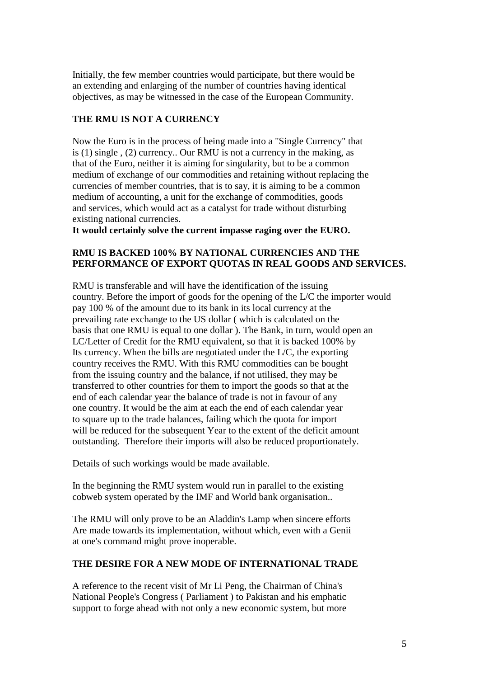Initially, the few member countries would participate, but there would be an extending and enlarging of the number of countries having identical objectives, as may be witnessed in the case of the European Community.

# **THE RMU IS NOT A CURRENCY**

Now the Euro is in the process of being made into a "Single Currency" that is (1) single , (2) currency.. Our RMU is not a currency in the making, as that of the Euro, neither it is aiming for singularity, but to be a common medium of exchange of our commodities and retaining without replacing the currencies of member countries, that is to say, it is aiming to be a common medium of accounting, a unit for the exchange of commodities, goods and services, which would act as a catalyst for trade without disturbing existing national currencies.

**It would certainly solve the current impasse raging over the EURO.**

# **RMU IS BACKED 100% BY NATIONAL CURRENCIES AND THE PERFORMANCE OF EXPORT QUOTAS IN REAL GOODS AND SERVICES.**

RMU is transferable and will have the identification of the issuing country. Before the import of goods for the opening of the L/C the importer would pay 100 % of the amount due to its bank in its local currency at the prevailing rate exchange to the US dollar ( which is calculated on the basis that one RMU is equal to one dollar ). The Bank, in turn, would open an LC/Letter of Credit for the RMU equivalent, so that it is backed 100% by Its currency. When the bills are negotiated under the L/C, the exporting country receives the RMU. With this RMU commodities can be bought from the issuing country and the balance, if not utilised, they may be transferred to other countries for them to import the goods so that at the end of each calendar year the balance of trade is not in favour of any one country. It would be the aim at each the end of each calendar year to square up to the trade balances, failing which the quota for import will be reduced for the subsequent Year to the extent of the deficit amount outstanding. Therefore their imports will also be reduced proportionately.

Details of such workings would be made available.

In the beginning the RMU system would run in parallel to the existing cobweb system operated by the IMF and World bank organisation..

The RMU will only prove to be an Aladdin's Lamp when sincere efforts Are made towards its implementation, without which, even with a Genii at one's command might prove inoperable.

#### **THE DESIRE FOR A NEW MODE OF INTERNATIONAL TRADE**

A reference to the recent visit of Mr Li Peng, the Chairman of China's National People's Congress ( Parliament ) to Pakistan and his emphatic support to forge ahead with not only a new economic system, but more